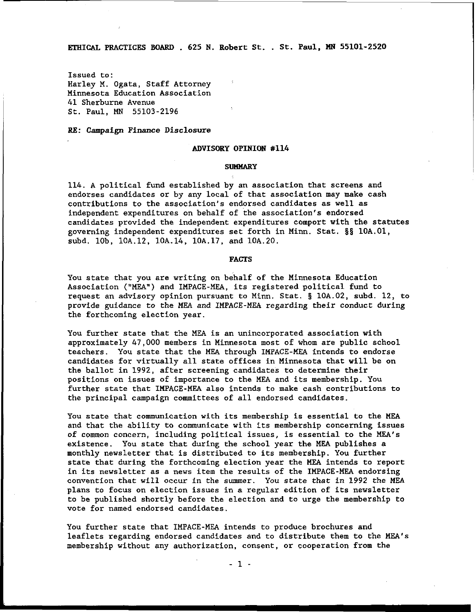**ETHICAL** PRACTICES BOARD . 625 N. Robert St. . St. Paul, **I4N** 55101-2520

Issued to: Harley M. Ogata, Staff Attorney Minnesota Education Association 41 Sherburne Avenue St. Paul, **MN** 55103-2196

RE: Campaign Finance Disclosure

# ADVISORY OPINION #I14

#### **SUMMARY**

114. A political fund established by an association that screens and endorses candidates or by any local of that association may make cash contributions to the association's endorsed candidates as well as independent expenditures on behalf of the association's endorsed candidates provided the independent expenditures comport with the statutes governing independent expenditures set forth in Minn. Stat. **58** 10A.01, subd. lob, 10A.12, 10A.14, 10A.17, and 10A.20.

## FACTS

You state that you are writing on behalf of the Minnesota Education Association ("MEA") and IMPACE-MEA, its registered political fund to request an advisory opinion pursuant to Minn. Stat. **8** 10A.02, subd. 12, to provide guidance to the MEA and IMPACE-MEA regarding their conduct during the forthcoming election year.

You further state that the MEA is an unincorporated association with approximately 47,000 members in Minnesota most of whom are public school teachers. You state that the MEA through IMPACE-MEA intends to endorse candidates for virtually all state offices in Minnesota that will be on the ballot in 1992, after screening candidates to determine their positions on issues of importance to the MEA and its membership. You further state that IMPACE-MEA also intends to make cash contributions to the principal campaign committees of all endorsed candidates.

You state that communication with its membership is essential to the MEA and that the ability to communicate with its membership concerning issues of common concern, including political issues, is essential to the MEA's existence. You state that during the school year the MEA publishes a monthly newsletter that is distributed to its membership. You further state that during the forthcoming election year the **MEA** intends to report in its newsletter as a news item the results of the IMPACE-MEA endorsing convention that will occur in the summer. You state that in 1992 the MEA plans to focus on election issues in a regular edition of its newsletter to be published shortly before the election and to urge the membership to vote for named endorsed candidates.

You further state that IMPACE-MEA intends to produce brochures and leaflets regarding endorsed candidates and to distribute them to the MEA's membership without any authorization, consent, or cooperation from the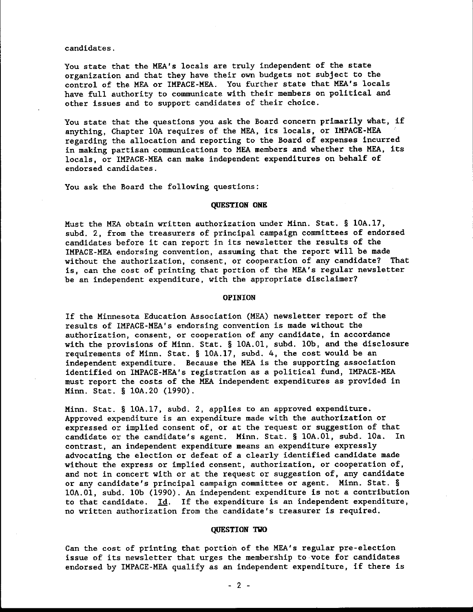candidates.

You state that the MEA's locals are truly independent of the state organization and that they have their own budgets not subject to the control of the MEA or IMPACE-MEA. You further state that MEA's locals have full authority to communicate with their members on political and other issues and to support candidates of their choice.

You state that the questions you ask the Board concern primarily what, if anything, Chapter 10A requires of the MEA, its locals, or IMPACE-MEA regarding the allocation and reporting to the Board of expenses incurred in making partisan communications to MEA members and whether the MEA, its locals. or IMPACE-MEA can make independent expenditures on behalf of endorsed candidates.

You ask the Board the following questions:

# **QUESTION ONE**

Must the MEA obtain written authorization under Minn. Stat. § 10A.17, subd. 2, from the treasurers of principal campaign committees of endorsed candidates before it can report in its newsletter the results of the IMPACE-MEA endorsing convention, assuming that the report will be made without the authorization, consent, or cooperation of any candidate? That is, can the cost of printing that portion of the MEA's regular newsletter be an independent expenditure, with the appropriate disclaimer?

# **OPINION**

If the Minnesota Education Association (MEA) newsletter report of the results of IMPACE-MEA's endorsing convention is made without the authorization, consent, or cooperation of any candidate, in accordance with the provisions of Minn. Stat. § 10A.01, subd. 10b, and the disclosure requirements of Minn. Stat. § 10A.17, subd. 4, the cost would be an independent expenditure. Because the MEA is the supporting association identified on IMPACE-MEA's registration as a political fund, IMPACE-MEA must report the costs of the MEA independent expenditures as provided in Minn. Stat. § 10A.20 (1990).

Minn. Stat. § 10A.17, subd. 2, applies to an approved expenditure. Approved expenditure is an expenditure made with the authorization or expressed or implied consent of, or at the request or suggestion of that candidate or the candidate's agent. Minn. Stat. § 10A.01, subd. 10a. In contrast, an independent expenditure means an expenditure expressly advocating the election or defeat of a clearly identified candidate made without the express or implied consent, authorization, or cooperation of, and not in concert with or at the request or suggestion of, any candidate or any candidate's principal campaign committee or agent. Minn. Stat. § 10A.01, subd. 10b (1990). An independent expenditure is not a contribution to that candidate.  $Id.$  If the expenditure is an independent expenditure, no written authorization from the candidate's treasurer is required.

# **QUESTION TWO**

Can the cost of printing that portion of the MEA's regular pre-election issue of its newsletter that urges the membership to vote for candidates endorsed by IMPACE-MEA qualify as an independent expenditure, if there is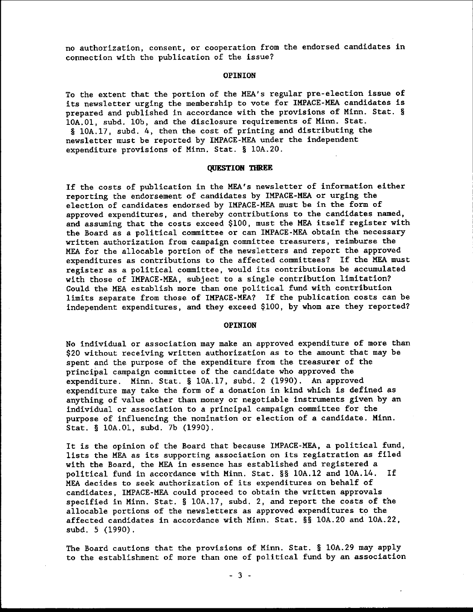no authorization, consent, or cooperation from the endorsed candidates in connection with the publication of the issue?

### **OPINION**

To the extent that the portion of the MEA's regular pre-election issue of its newsletter urging the membership to vote for IMPACE-MEA candidates is prepared and published in accordance with the provisions of Minn. Stat. § 10A.01, subd. 10b, and the disclosure requirements of Minn. Stat.

§ 10A.17, subd. 4, then the cost of printing and distributing the newsletter must be reported by IMPACE-MEA under the independent expenditure provisions of Minn. Stat. § 10A.20.

#### **QUESTION THREE**

If the costs of publication in the MEA's newsletter of information either reporting the endorsement of candidates by IMPACE-MEA or urging the election of candidates endorsed by IMPACE-MEA must be in the form of approved expenditures, and thereby contributions to the candidates named, and assuming that the costs exceed \$100, must the MEA itself register with the Board as a political committee or can IMPACE-MEA obtain the necessary written authorization from campaign committee treasurers, reimburse the MEA for the allocable portion of the newsletters and report the approved expenditures as contributions to the affected committees? If the MEA must register as a political committee, would its contributions be accumulated with those of IMPACE-MEA, subject to a single contribution limitation? Could the MEA establish more than one political fund with contribution limits separate from those of IMPACE-MEA? If the publication costs can be independent expenditures, and they exceed \$100, by whom are they reported?

## **OPINION**

No individual or association may make an approved expenditure of more than \$20 without receiving written authorization as to the amount that may be spent and the purpose of the expenditure from the treasurer of the principal campaign committee of the candidate who approved the expenditure. Minn. Stat. § 10A.17, subd. 2 (1990). An approved expenditure may take the form of a donation in kind which is defined as anything of value other than money or negotiable instruments given by an individual or association to a principal campaign committee for the purpose of influencing the nomination or election of a candidate. Minn. Stat. § 10A.01, subd. 7b (1990).

It is the opinion of the Board that because IMPACE-MEA, a political fund, lists the MEA as its supporting association on its registration as filed with the Board, the MEA in essence has established and registered a political fund in accordance with Minn. Stat. §§ 10A.12 and 10A.14. If MEA decides to seek authorization of its expenditures on behalf of candidates, IMPACE-MEA could proceed to obtain the written approvals specified in Minn. Stat. § 10A.17, subd. 2, and report the costs of the allocable portions of the newsletters as approved expenditures to the affected candidates in accordance with Minn. Stat. §§ 10A.20 and 10A.22, subd. 5 (1990).

The Board cautions that the provisions of Minn. Stat. § 10A.29 may apply to the establishment of more than one of political fund by an association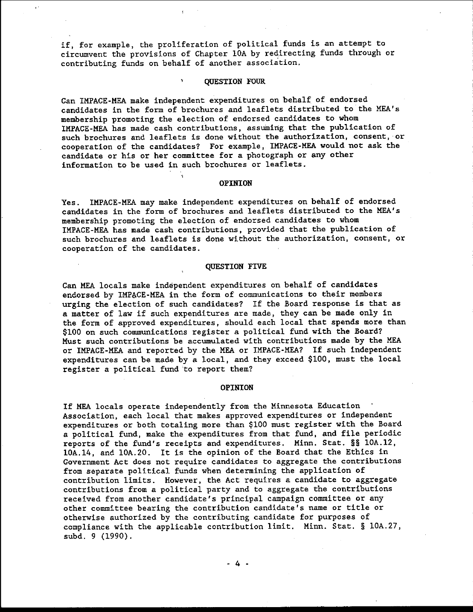if, for example, the proliferation of political funds is an attempt to circumvent the provisions of Chapter 10A by redirecting funds through or contributing funds on behalf of another association.

# **QUESTION FOUR**

Can IMPACE-MEA make independent expenditures on behalf of endorsed candidates in the form of brochures and leaflets distributed to the MEA's membership promoting the election of endorsed candidates to whom IMPACE-MEA has made cash contributions, assuming that the publication of such brochures and leaflets is done without the authorization, consent, or cooperation of the candidates? For example, IMPACE-MEA would not ask the candidate or his or her committee for a photograph or any other information to be used in such brochures or leaflets.

## **OPINION**

IMPACE-MEA may make independent expenditures on behalf of endorsed **Yes.** candidates in the form of brochures and leaflets distributed to the MEA's membership promoting the election of endorsed candidates to whom IMPACE-MEA has made cash contributions, provided that the publication of such brochures and leaflets is done without the authorization, consent, or cooperation of the candidates.

## **QUESTION FIVE**

Can MEA locals make independent expenditures on behalf of candidates endorsed by IMPACE-MEA in the form of communications to their members urging the election of such candidates? If the Board response is that as a matter of law if such expenditures are made, they can be made only in the form of approved expenditures, should each local that spends more than \$100 on such communications register a political fund with the Board? Must such contributions be accumulated with contributions made by the MEA or IMPACE-MEA and reported by the MEA or IMPACE-MEA? If such independent expenditures can be made by a local, and they exceed \$100, must the local register a political fund to report them?

### **OPINION**

If MEA locals operate independently from the Minnesota Education Association, each local that makes approved expenditures or independent expenditures or both totaling more than \$100 must register with the Board a political fund, make the expenditures from that fund, and file periodic reports of the fund's receipts and expenditures. Minn. Stat. §§ 10A.12, 10A.14, and 10A.20. It is the opinion of the Board that the Ethics in Government Act does not require candidates to aggregate the contributions from separate political funds when determining the application of contribution limits. However, the Act requires a candidate to aggregate contributions from a political party and to aggregate the contributions received from another candidate's principal campaign committee or any other committee bearing the contribution candidate's name or title or otherwise authorized by the contributing candidate for purposes of compliance with the applicable contribution limit. Minn. Stat. § 10A.27, subd. 9 (1990).

- 4 -